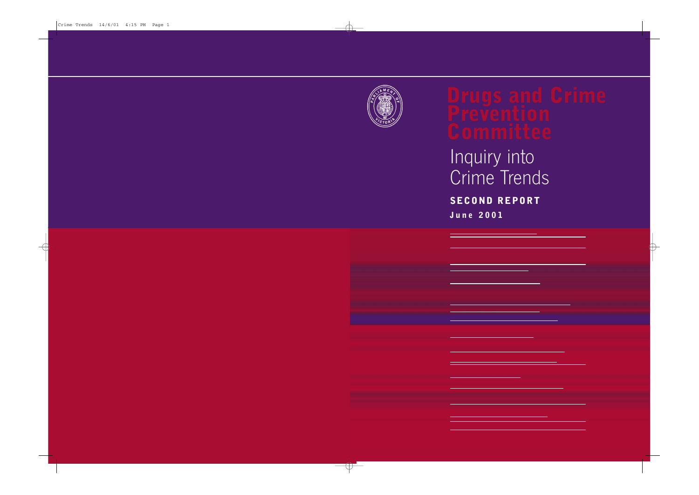

# Inquiry into Crime Trends **SECOND REPORT**

**June 2001**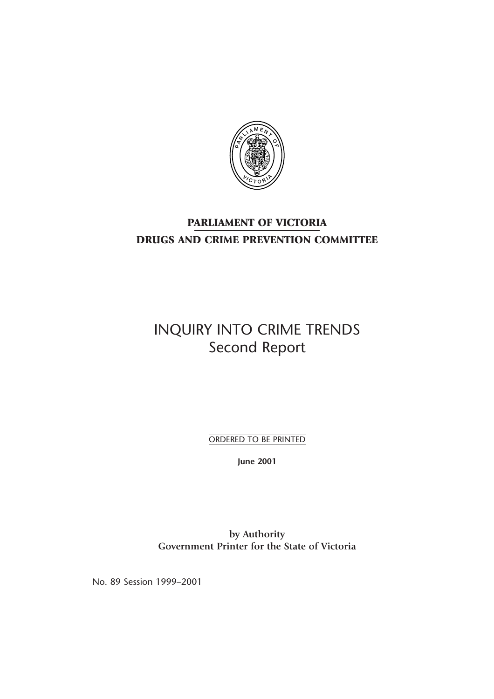

## **PARLIAMENT OF VICTORIA DRUGS AND CRIME PREVENTION COMMITTEE**

## INQUIRY INTO CRIME TRENDS Second Report

ORDERED TO BE PRINTED

**June 2001**

**by Authority Government Printer for the State of Victoria**

No. 89 Session 1999–2001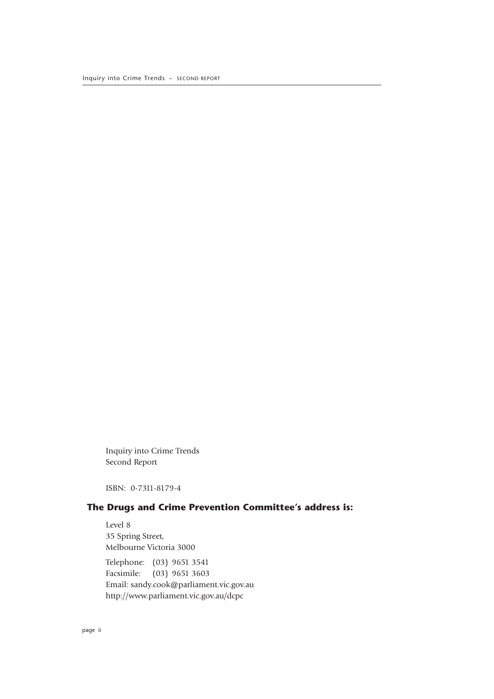Inquiry into Crime Trends Second Report

ISBN: 0-7311-8179-4

### **The Drugs and Crime Prevention Committee's address is:**

Level 8 35 Spring Street, Melbourne Victoria 3000 Telephone: (03) 9651 3541 Facsimile: (03) 9651 3603 Email: sandy.cook@parliament.vic.gov.au http://www.parliament.vic.gov.au/dcpc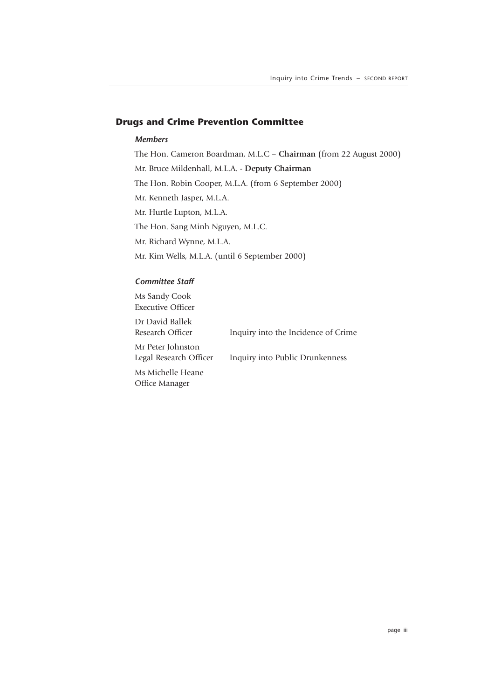#### **Drugs and Crime Prevention Committee**

#### *Members*

The Hon. Cameron Boardman, M.L.C – **Chairman** (from 22 August 2000) Mr. Bruce Mildenhall, M.L.A. - **Deputy Chairman** The Hon. Robin Cooper, M.L.A. (from 6 September 2000) Mr. Kenneth Jasper, M.L.A. Mr. Hurtle Lupton, M.L.A. The Hon. Sang Minh Nguyen, M.L.C. Mr. Richard Wynne, M.L.A. Mr. Kim Wells, M.L.A. (until 6 September 2000)

#### *Committee Staff*

Ms Sandy Cook Executive Officer Dr David Ballek Research Officer Inquiry into the Incidence of Crime Mr Peter Johnston Legal Research Officer Inquiry into Public Drunkenness Ms Michelle Heane Office Manager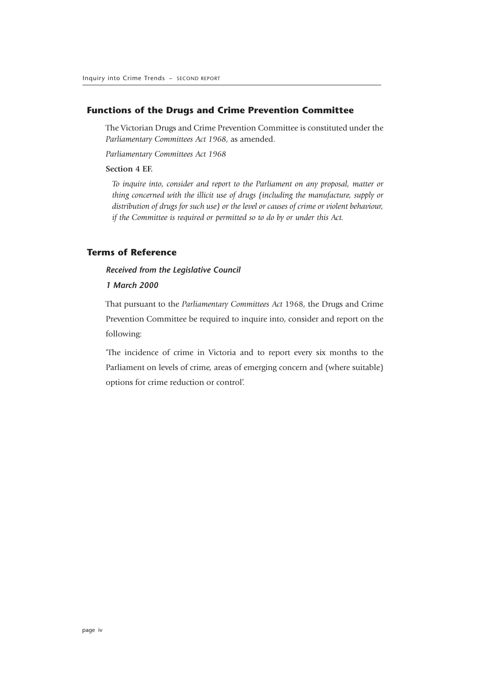#### **Functions of the Drugs and Crime Prevention Committee**

The Victorian Drugs and Crime Prevention Committee is constituted under the *Parliamentary Committees Act 1968*, as amended.

*Parliamentary Committees Act 1968*

#### **Section 4 EF.**

*To inquire into, consider and report to the Parliament on any proposal, matter or thing concerned with the illicit use of drugs (including the manufacture, supply or distribution of drugs for such use) or the level or causes of crime or violent behaviour, if the Committee is required or permitted so to do by or under this Act.*

#### **Terms of Reference**

#### *Received from the Legislative Council*

#### *1 March 2000*

That pursuant to the *Parliamentary Committees Act* 1968, the Drugs and Crime Prevention Committee be required to inquire into, consider and report on the following:

'The incidence of crime in Victoria and to report every six months to the Parliament on levels of crime, areas of emerging concern and (where suitable) options for crime reduction or control'.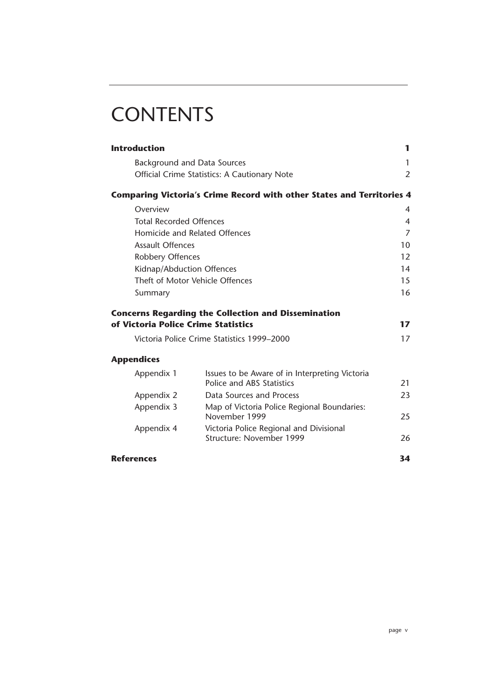# **CONTENTS**

| <b>Introduction</b>                 |                                                                              | 1              |  |
|-------------------------------------|------------------------------------------------------------------------------|----------------|--|
| <b>Background and Data Sources</b>  |                                                                              | 1              |  |
|                                     | Official Crime Statistics: A Cautionary Note                                 | 2              |  |
|                                     | <b>Comparing Victoria's Crime Record with other States and Territories 4</b> |                |  |
| Overview                            |                                                                              | 4              |  |
| <b>Total Recorded Offences</b>      |                                                                              | 4              |  |
| Homicide and Related Offences       |                                                                              | $\overline{7}$ |  |
| <b>Assault Offences</b>             |                                                                              | 10             |  |
| Robbery Offences                    |                                                                              | 12             |  |
| Kidnap/Abduction Offences           |                                                                              | 14             |  |
|                                     | Theft of Motor Vehicle Offences                                              |                |  |
| Summary                             |                                                                              | 16             |  |
|                                     | <b>Concerns Regarding the Collection and Dissemination</b>                   |                |  |
| of Victoria Police Crime Statistics |                                                                              | 17             |  |
|                                     | Victoria Police Crime Statistics 1999–2000                                   | 17             |  |
| <b>Appendices</b>                   |                                                                              |                |  |
| Appendix 1                          | Issues to be Aware of in Interpreting Victoria<br>Police and ABS Statistics  | 21             |  |
| Appendix 2                          | Data Sources and Process                                                     | 23             |  |
| Appendix 3                          | Map of Victoria Police Regional Boundaries:<br>November 1999                 | 25             |  |
| Appendix 4                          | Victoria Police Regional and Divisional<br>Structure: November 1999          | 26             |  |
| <b>References</b>                   |                                                                              | 34             |  |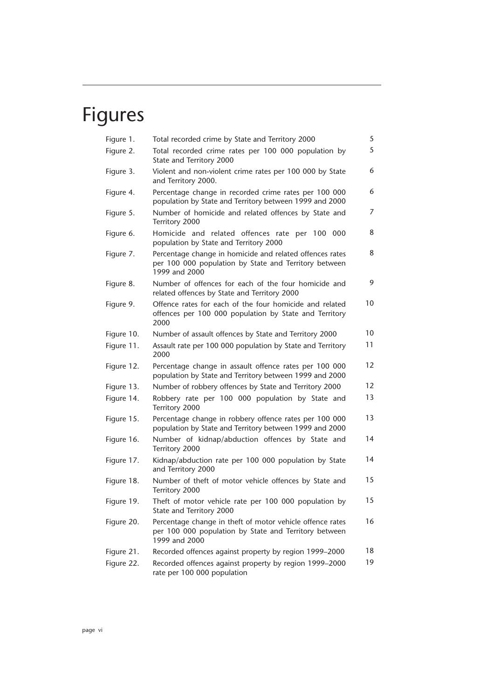# Figures

| Total recorded crime by State and Territory 2000                                                                                    | 5              |
|-------------------------------------------------------------------------------------------------------------------------------------|----------------|
| Total recorded crime rates per 100 000 population by<br>State and Territory 2000                                                    | 5              |
| Violent and non-violent crime rates per 100 000 by State<br>and Territory 2000.                                                     | 6              |
| Percentage change in recorded crime rates per 100 000<br>population by State and Territory between 1999 and 2000                    | 6              |
| Number of homicide and related offences by State and<br>Territory 2000                                                              | $\overline{7}$ |
| Homicide and related offences rate per 100 000<br>population by State and Territory 2000                                            | 8              |
| Percentage change in homicide and related offences rates<br>per 100 000 population by State and Territory between<br>1999 and 2000  | 8              |
| Number of offences for each of the four homicide and<br>related offences by State and Territory 2000                                | 9              |
| Offence rates for each of the four homicide and related<br>offences per 100 000 population by State and Territory<br>2000           | 10             |
| Number of assault offences by State and Territory 2000                                                                              | 10             |
| Assault rate per 100 000 population by State and Territory<br>2000                                                                  | 11             |
| Percentage change in assault offence rates per 100 000<br>population by State and Territory between 1999 and 2000                   | 12             |
| Number of robbery offences by State and Territory 2000                                                                              | 12             |
| Robbery rate per 100 000 population by State and<br>Territory 2000                                                                  | 13             |
| Percentage change in robbery offence rates per 100 000<br>population by State and Territory between 1999 and 2000                   | 13             |
| Number of kidnap/abduction offences by State and<br>Territory 2000                                                                  | 14             |
| Kidnap/abduction rate per 100 000 population by State<br>and Territory 2000                                                         | 14             |
| Number of theft of motor vehicle offences by State and<br>Territory 2000                                                            | 15             |
| Theft of motor vehicle rate per 100 000 population by<br>State and Territory 2000                                                   | 15             |
| Percentage change in theft of motor vehicle offence rates<br>per 100 000 population by State and Territory between<br>1999 and 2000 | 16             |
| Recorded offences against property by region 1999-2000                                                                              | 18             |
| Recorded offences against property by region 1999-2000<br>rate per 100 000 population                                               | 19             |
|                                                                                                                                     |                |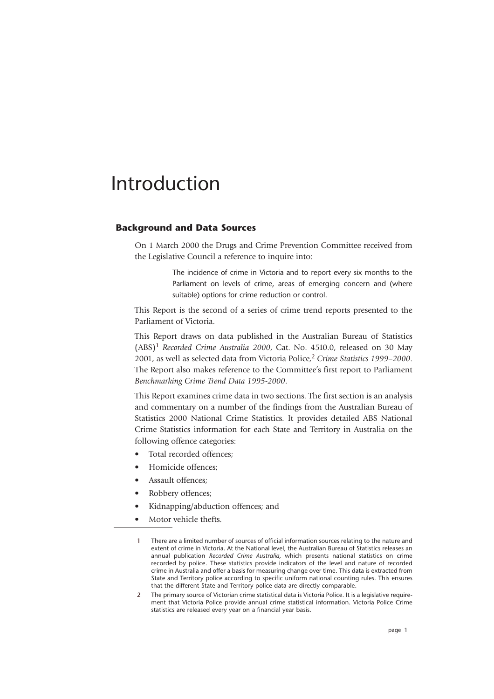## Introduction

#### **Background and Data Sources**

On 1 March 2000 the Drugs and Crime Prevention Committee received from the Legislative Council a reference to inquire into:

> The incidence of crime in Victoria and to report every six months to the Parliament on levels of crime, areas of emerging concern and (where suitable) options for crime reduction or control.

This Report is the second of a series of crime trend reports presented to the Parliament of Victoria.

This Report draws on data published in the Australian Bureau of Statistics (ABS)1 *Recorded Crime Australia 2000*, Cat. No. 4510.0, released on 30 May 2001, as well as selected data from Victoria Police,2 *Crime Statistics 1999–2000*. The Report also makes reference to the Committee's first report to Parliament *Benchmarking Crime Trend Data 1995-2000*.

This Report examines crime data in two sections. The first section is an analysis and commentary on a number of the findings from the Australian Bureau of Statistics 2000 National Crime Statistics. It provides detailed ABS National Crime Statistics information for each State and Territory in Australia on the following offence categories:

- Total recorded offences;
- Homicide offences;
- Assault offences;
- Robbery offences;
- Kidnapping/abduction offences; and
- Motor vehicle thefts.

<sup>1</sup> There are a limited number of sources of official information sources relating to the nature and extent of crime in Victoria. At the National level, the Australian Bureau of Statistics releases an annual publication *Recorded Crime Australia,* which presents national statistics on crime recorded by police. These statistics provide indicators of the level and nature of recorded crime in Australia and offer a basis for measuring change over time. This data is extracted from State and Territory police according to specific uniform national counting rules. This ensures that the different State and Territory police data are directly comparable.

<sup>2</sup> The primary source of Victorian crime statistical data is Victoria Police. It is a legislative requirement that Victoria Police provide annual crime statistical information. Victoria Police Crime statistics are released every year on a financial year basis.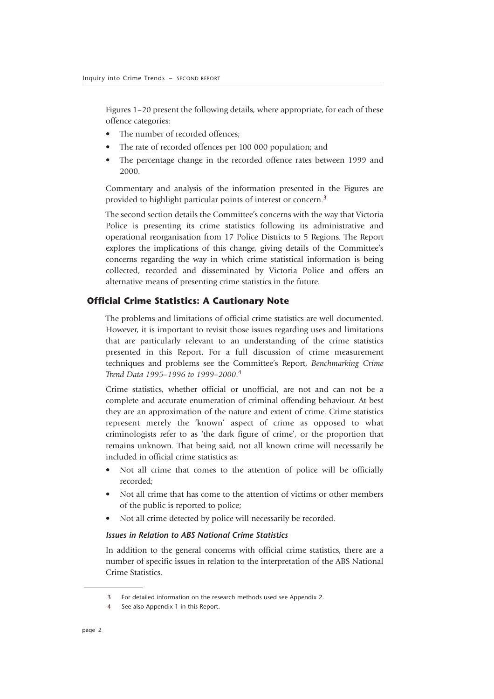Figures 1–20 present the following details, where appropriate, for each of these offence categories:

- The number of recorded offences:
- The rate of recorded offences per 100 000 population; and
- The percentage change in the recorded offence rates between 1999 and 2000.

Commentary and analysis of the information presented in the Figures are provided to highlight particular points of interest or concern.3

The second section details the Committee's concerns with the way that Victoria Police is presenting its crime statistics following its administrative and operational reorganisation from 17 Police Districts to 5 Regions. The Report explores the implications of this change, giving details of the Committee's concerns regarding the way in which crime statistical information is being collected, recorded and disseminated by Victoria Police and offers an alternative means of presenting crime statistics in the future.

#### **Official Crime Statistics: A Cautionary Note**

The problems and limitations of official crime statistics are well documented. However, it is important to revisit those issues regarding uses and limitations that are particularly relevant to an understanding of the crime statistics presented in this Report. For a full discussion of crime measurement techniques and problems see the Committee's Report, *Benchmarking Crime Trend Data 1995–1996 to 1999–2000*. 4

Crime statistics, whether official or unofficial, are not and can not be a complete and accurate enumeration of criminal offending behaviour. At best they are an approximation of the nature and extent of crime. Crime statistics represent merely the 'known' aspect of crime as opposed to what criminologists refer to as 'the dark figure of crime', or the proportion that remains unknown. That being said, not all known crime will necessarily be included in official crime statistics as:

- Not all crime that comes to the attention of police will be officially recorded;
- Not all crime that has come to the attention of victims or other members of the public is reported to police;
- Not all crime detected by police will necessarily be recorded.

#### *Issues in Relation to ABS National Crime Statistics*

In addition to the general concerns with official crime statistics, there are a number of specific issues in relation to the interpretation of the ABS National Crime Statistics.

<sup>3</sup> For detailed information on the research methods used see Appendix 2.

<sup>4</sup> See also Appendix 1 in this Report.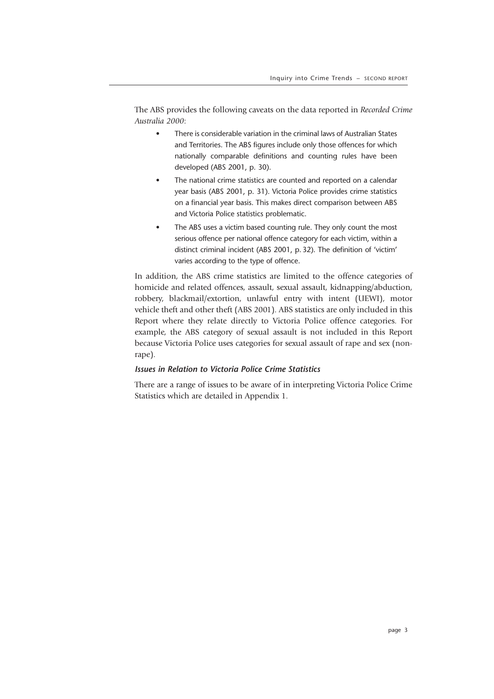The ABS provides the following caveats on the data reported in *Recorded Crime Australia 2000*:

- There is considerable variation in the criminal laws of Australian States and Territories. The ABS figures include only those offences for which nationally comparable definitions and counting rules have been developed (ABS 2001, p. 30).
- The national crime statistics are counted and reported on a calendar year basis (ABS 2001, p. 31). Victoria Police provides crime statistics on a financial year basis. This makes direct comparison between ABS and Victoria Police statistics problematic.
- The ABS uses a victim based counting rule. They only count the most serious offence per national offence category for each victim, within a distinct criminal incident (ABS 2001, p. 32). The definition of 'victim' varies according to the type of offence.

In addition, the ABS crime statistics are limited to the offence categories of homicide and related offences, assault, sexual assault, kidnapping/abduction, robbery, blackmail/extortion, unlawful entry with intent (UEWI), motor vehicle theft and other theft (ABS 2001). ABS statistics are only included in this Report where they relate directly to Victoria Police offence categories. For example, the ABS category of sexual assault is not included in this Report because Victoria Police uses categories for sexual assault of rape and sex (nonrape).

#### *Issues in Relation to Victoria Police Crime Statistics*

There are a range of issues to be aware of in interpreting Victoria Police Crime Statistics which are detailed in Appendix 1.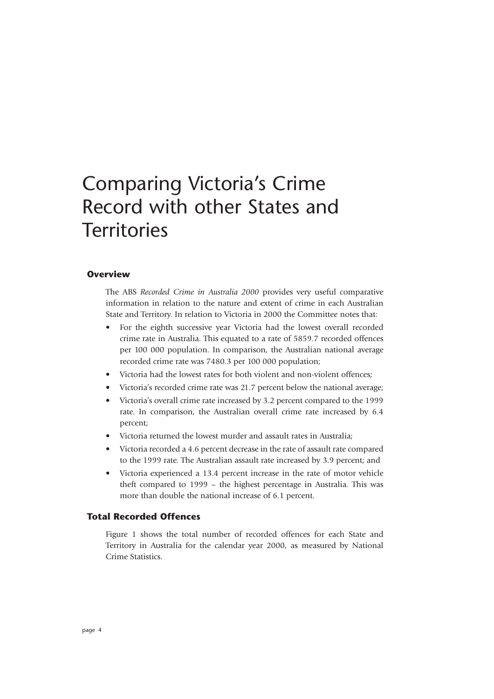## Comparing Victoria's Crime Record with other States and **Territories**

#### **Overview**

The ABS *Recorded Crime in Australia 2000* provides very useful comparative information in relation to the nature and extent of crime in each Australian State and Territory. In relation to Victoria in 2000 the Committee notes that:

- For the eighth successive year Victoria had the lowest overall recorded crime rate in Australia. This equated to a rate of 5859.7 recorded offences per 100 000 population. In comparison, the Australian national average recorded crime rate was 7480.3 per 100 000 population;
- Victoria had the lowest rates for both violent and non-violent offences;
- Victoria's recorded crime rate was 21.7 percent below the national average;
- Victoria's overall crime rate increased by 3.2 percent compared to the 1999 rate. In comparison, the Australian overall crime rate increased by 6.4 percent;
- Victoria returned the lowest murder and assault rates in Australia;
- Victoria recorded a 4.6 percent decrease in the rate of assault rate compared to the 1999 rate. The Australian assault rate increased by 3.9 percent; and
- Victoria experienced a 13.4 percent increase in the rate of motor vehicle theft compared to 1999 – the highest percentage in Australia. This was more than double the national increase of 6.1 percent.

#### **Total Recorded Offences**

Figure 1 shows the total number of recorded offences for each State and Territory in Australia for the calendar year 2000, as measured by National Crime Statistics.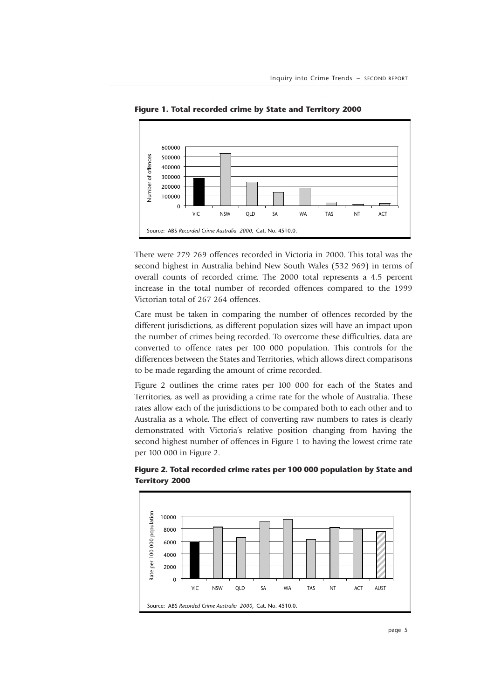

**Figure 1. Total recorded crime by State and Territory 2000**

There were 279 269 offences recorded in Victoria in 2000. This total was the second highest in Australia behind New South Wales (532 969) in terms of overall counts of recorded crime. The 2000 total represents a 4.5 percent increase in the total number of recorded offences compared to the 1999 Victorian total of 267 264 offences.

Care must be taken in comparing the number of offences recorded by the different jurisdictions, as different population sizes will have an impact upon the number of crimes being recorded. To overcome these difficulties, data are converted to offence rates per 100 000 population. This controls for the differences between the States and Territories, which allows direct comparisons to be made regarding the amount of crime recorded.

Figure 2 outlines the crime rates per 100 000 for each of the States and Territories, as well as providing a crime rate for the whole of Australia. These rates allow each of the jurisdictions to be compared both to each other and to Australia as a whole. The effect of converting raw numbers to rates is clearly demonstrated with Victoria's relative position changing from having the second highest number of offences in Figure 1 to having the lowest crime rate per 100 000 in Figure 2.



**Figure 2. Total recorded crime rates per 100 000 population by State and Territory 2000**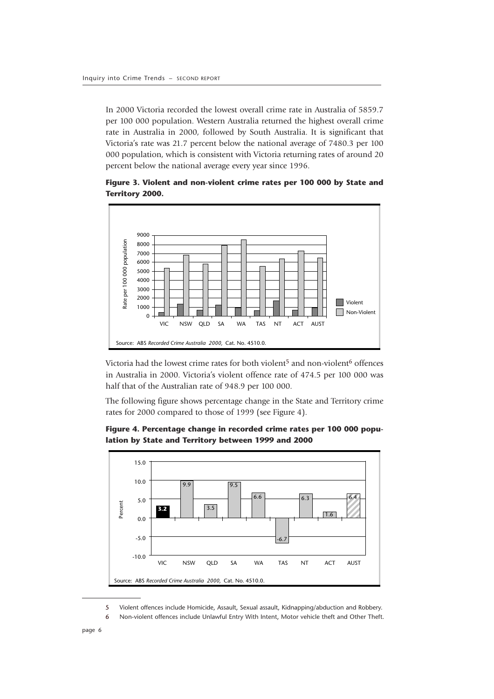In 2000 Victoria recorded the lowest overall crime rate in Australia of 5859.7 per 100 000 population. Western Australia returned the highest overall crime rate in Australia in 2000, followed by South Australia. It is significant that Victoria's rate was 21.7 percent below the national average of 7480.3 per 100 000 population, which is consistent with Victoria returning rates of around 20 percent below the national average every year since 1996.





Victoria had the lowest crime rates for both violent<sup>5</sup> and non-violent<sup>6</sup> offences in Australia in 2000. Victoria's violent offence rate of 474.5 per 100 000 was half that of the Australian rate of 948.9 per 100 000.

The following figure shows percentage change in the State and Territory crime rates for 2000 compared to those of 1999 (see Figure 4).



**Figure 4. Percentage change in recorded crime rates per 100 000 population by State and Territory between 1999 and 2000**

<sup>5</sup> Violent offences include Homicide, Assault, Sexual assault, Kidnapping/abduction and Robbery.

<sup>6</sup> Non-violent offences include Unlawful Entry With Intent, Motor vehicle theft and Other Theft.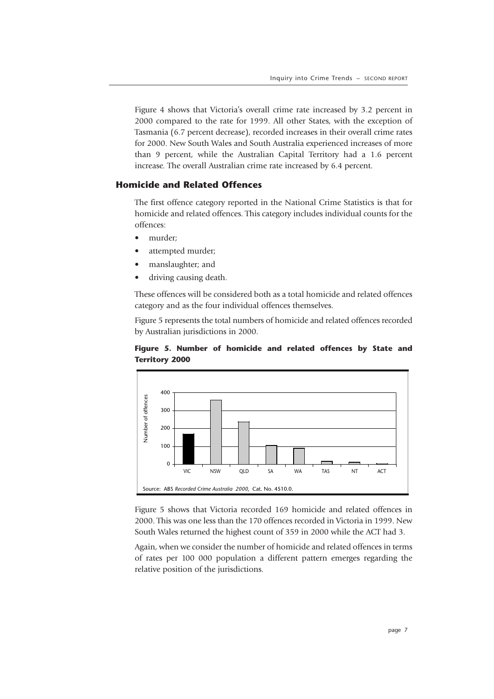Figure 4 shows that Victoria's overall crime rate increased by 3.2 percent in 2000 compared to the rate for 1999. All other States, with the exception of Tasmania (6.7 percent decrease), recorded increases in their overall crime rates for 2000. New South Wales and South Australia experienced increases of more than 9 percent, while the Australian Capital Territory had a 1.6 percent increase. The overall Australian crime rate increased by 6.4 percent.

#### **Homicide and Related Offences**

The first offence category reported in the National Crime Statistics is that for homicide and related offences. This category includes individual counts for the offences:

- murder;
- attempted murder;
- manslaughter; and
- driving causing death.

These offences will be considered both as a total homicide and related offences category and as the four individual offences themselves.

Figure 5 represents the total numbers of homicide and related offences recorded by Australian jurisdictions in 2000.



**Figure 5. Number of homicide and related offences by State and Territory 2000**

Figure 5 shows that Victoria recorded 169 homicide and related offences in 2000. This was one less than the 170 offences recorded in Victoria in 1999. New South Wales returned the highest count of 359 in 2000 while the ACT had 3.

Again, when we consider the number of homicide and related offences in terms of rates per 100 000 population a different pattern emerges regarding the relative position of the jurisdictions.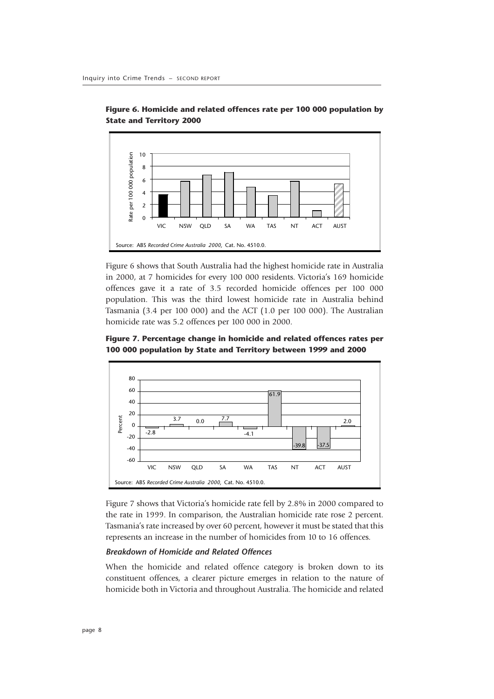

**Figure 6. Homicide and related offences rate per 100 000 population by State and Territory 2000**

Figure 6 shows that South Australia had the highest homicide rate in Australia in 2000, at 7 homicides for every 100 000 residents. Victoria's 169 homicide offences gave it a rate of 3.5 recorded homicide offences per 100 000 population. This was the third lowest homicide rate in Australia behind Tasmania (3.4 per 100 000) and the ACT (1.0 per 100 000). The Australian homicide rate was 5.2 offences per 100 000 in 2000.

**Figure 7. Percentage change in homicide and related offences rates per 100 000 population by State and Territory between 1999 and 2000**



Figure 7 shows that Victoria's homicide rate fell by 2.8% in 2000 compared to the rate in 1999. In comparison, the Australian homicide rate rose 2 percent. Tasmania's rate increased by over 60 percent, however it must be stated that this represents an increase in the number of homicides from 10 to 16 offences.

#### *Breakdown of Homicide and Related Offences*

When the homicide and related offence category is broken down to its constituent offences, a clearer picture emerges in relation to the nature of homicide both in Victoria and throughout Australia. The homicide and related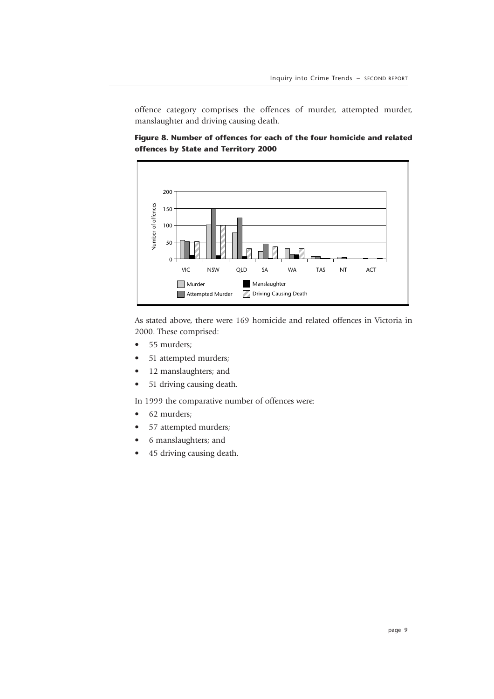offence category comprises the offences of murder, attempted murder, manslaughter and driving causing death.



**Figure 8. Number of offences for each of the four homicide and related offences by State and Territory 2000**

As stated above, there were 169 homicide and related offences in Victoria in 2000. These comprised:

- 55 murders;
- 51 attempted murders;
- 12 manslaughters; and
- 51 driving causing death.

In 1999 the comparative number of offences were:

- 62 murders;
- 57 attempted murders;
- 6 manslaughters; and
- 45 driving causing death.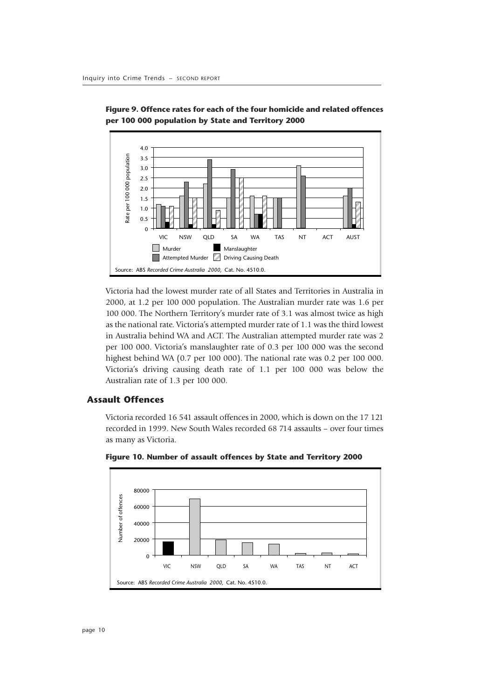



Victoria had the lowest murder rate of all States and Territories in Australia in 2000, at 1.2 per 100 000 population. The Australian murder rate was 1.6 per 100 000. The Northern Territory's murder rate of 3.1 was almost twice as high as the national rate. Victoria's attempted murder rate of 1.1 was the third lowest in Australia behind WA and ACT. The Australian attempted murder rate was 2 per 100 000. Victoria's manslaughter rate of 0.3 per 100 000 was the second highest behind WA (0.7 per 100 000). The national rate was 0.2 per 100 000. Victoria's driving causing death rate of 1.1 per 100 000 was below the Australian rate of 1.3 per 100 000.

#### **Assault Offences**

Victoria recorded 16 541 assault offences in 2000, which is down on the 17 121 recorded in 1999. New South Wales recorded 68 714 assaults – over four times as many as Victoria.



**Figure 10. Number of assault offences by State and Territory 2000**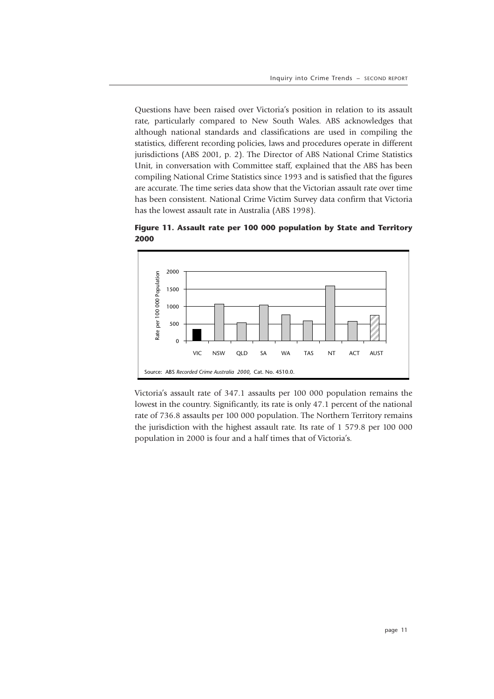Questions have been raised over Victoria's position in relation to its assault rate, particularly compared to New South Wales. ABS acknowledges that although national standards and classifications are used in compiling the statistics, different recording policies, laws and procedures operate in different jurisdictions (ABS 2001, p. 2). The Director of ABS National Crime Statistics Unit, in conversation with Committee staff, explained that the ABS has been compiling National Crime Statistics since 1993 and is satisfied that the figures are accurate. The time series data show that the Victorian assault rate over time has been consistent. National Crime Victim Survey data confirm that Victoria has the lowest assault rate in Australia (ABS 1998).



**Figure 11. Assault rate per 100 000 population by State and Territory 2000**

Victoria's assault rate of 347.1 assaults per 100 000 population remains the lowest in the country. Significantly, its rate is only 47.1 percent of the national rate of 736.8 assaults per 100 000 population. The Northern Territory remains the jurisdiction with the highest assault rate. Its rate of 1 579.8 per 100 000 population in 2000 is four and a half times that of Victoria's.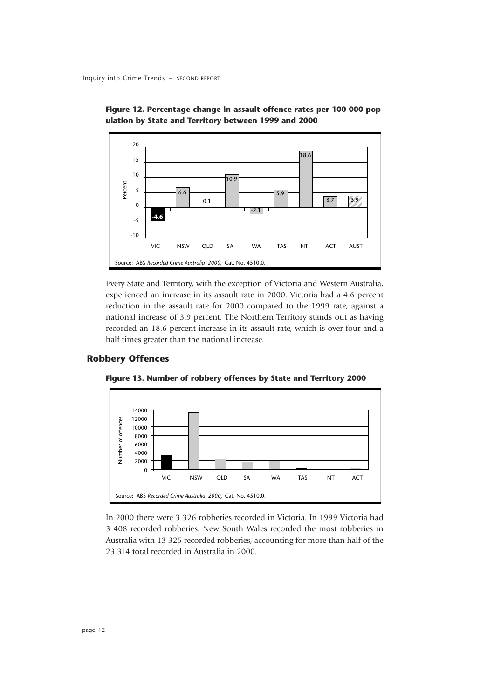

**Figure 12. Percentage change in assault offence rates per 100 000 population by State and Territory between 1999 and 2000**

Every State and Territory, with the exception of Victoria and Western Australia, experienced an increase in its assault rate in 2000. Victoria had a 4.6 percent reduction in the assault rate for 2000 compared to the 1999 rate, against a national increase of 3.9 percent. The Northern Territory stands out as having recorded an 18.6 percent increase in its assault rate, which is over four and a half times greater than the national increase.

#### **Robbery Offences**



**Figure 13. Number of robbery offences by State and Territory 2000**

In 2000 there were 3 326 robberies recorded in Victoria. In 1999 Victoria had 3 408 recorded robberies. New South Wales recorded the most robberies in Australia with 13 325 recorded robberies, accounting for more than half of the 23 314 total recorded in Australia in 2000.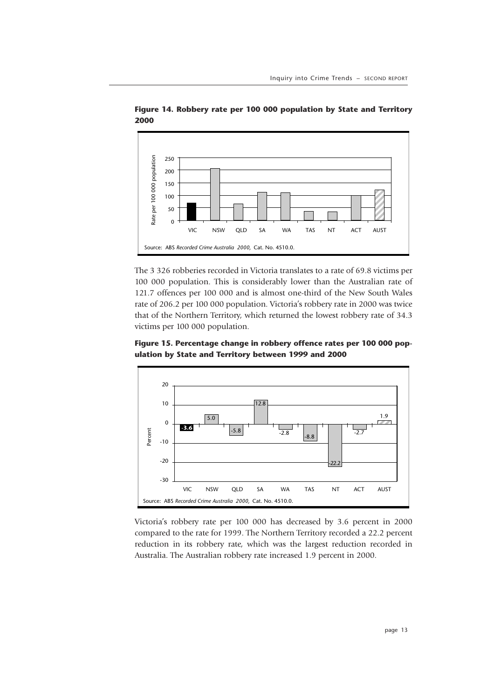

**Figure 14. Robbery rate per 100 000 population by State and Territory 2000**

The 3 326 robberies recorded in Victoria translates to a rate of 69.8 victims per 100 000 population. This is considerably lower than the Australian rate of 121.7 offences per 100 000 and is almost one-third of the New South Wales rate of 206.2 per 100 000 population. Victoria's robbery rate in 2000 was twice that of the Northern Territory, which returned the lowest robbery rate of 34.3 victims per 100 000 population.

**Figure 15. Percentage change in robbery offence rates per 100 000 population by State and Territory between 1999 and 2000**



Victoria's robbery rate per 100 000 has decreased by 3.6 percent in 2000 compared to the rate for 1999. The Northern Territory recorded a 22.2 percent reduction in its robbery rate, which was the largest reduction recorded in Australia. The Australian robbery rate increased 1.9 percent in 2000.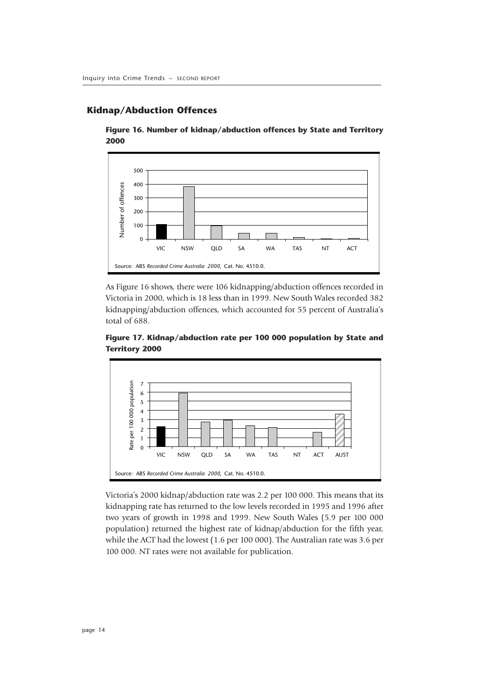#### **Kidnap/Abduction Offences**





As Figure 16 shows, there were 106 kidnapping/abduction offences recorded in Victoria in 2000, which is 18 less than in 1999. New South Wales recorded 382 kidnapping/abduction offences, which accounted for 55 percent of Australia's total of 688.



**Figure 17. Kidnap/abduction rate per 100 000 population by State and Territory 2000**

Victoria's 2000 kidnap/abduction rate was 2.2 per 100 000. This means that its kidnapping rate has returned to the low levels recorded in 1995 and 1996 after two years of growth in 1998 and 1999. New South Wales (5.9 per 100 000 population) returned the highest rate of kidnap/abduction for the fifth year, while the ACT had the lowest (1.6 per 100 000). The Australian rate was 3.6 per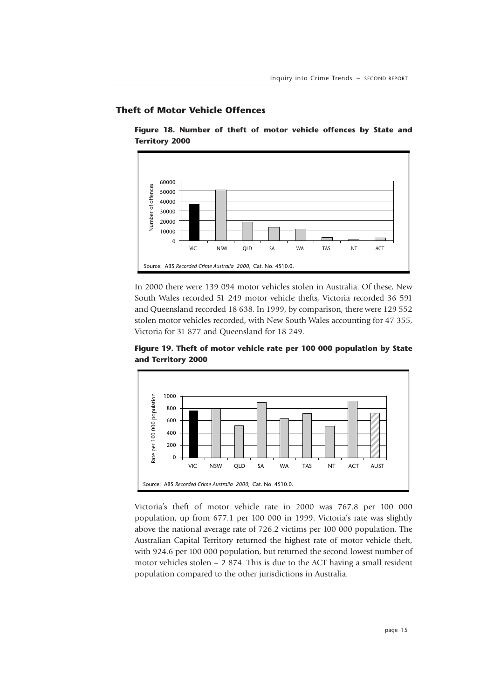#### **Theft of Motor Vehicle Offences**

**Figure 18. Number of theft of motor vehicle offences by State and Territory 2000**



In 2000 there were 139 094 motor vehicles stolen in Australia. Of these, New South Wales recorded 51 249 motor vehicle thefts, Victoria recorded 36 591 and Queensland recorded 18 638. In 1999, by comparison, there were 129 552 stolen motor vehicles recorded, with New South Wales accounting for 47 355, Victoria for 31 877 and Queensland for 18 249.



**Figure 19. Theft of motor vehicle rate per 100 000 population by State and Territory 2000**

Victoria's theft of motor vehicle rate in 2000 was 767.8 per 100 000 population, up from 677.1 per 100 000 in 1999. Victoria's rate was slightly above the national average rate of 726.2 victims per 100 000 population. The Australian Capital Territory returned the highest rate of motor vehicle theft, with 924.6 per 100 000 population, but returned the second lowest number of motor vehicles stolen – 2 874. This is due to the ACT having a small resident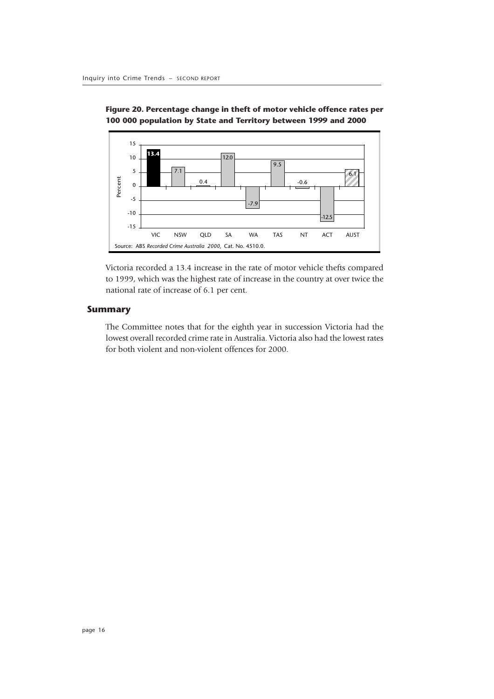

**Figure 20. Percentage change in theft of motor vehicle offence rates per 100 000 population by State and Territory between 1999 and 2000**

Victoria recorded a 13.4 increase in the rate of motor vehicle thefts compared to 1999, which was the highest rate of increase in the country at over twice the national rate of increase of 6.1 per cent.

#### **Summary**

The Committee notes that for the eighth year in succession Victoria had the lowest overall recorded crime rate in Australia. Victoria also had the lowest rates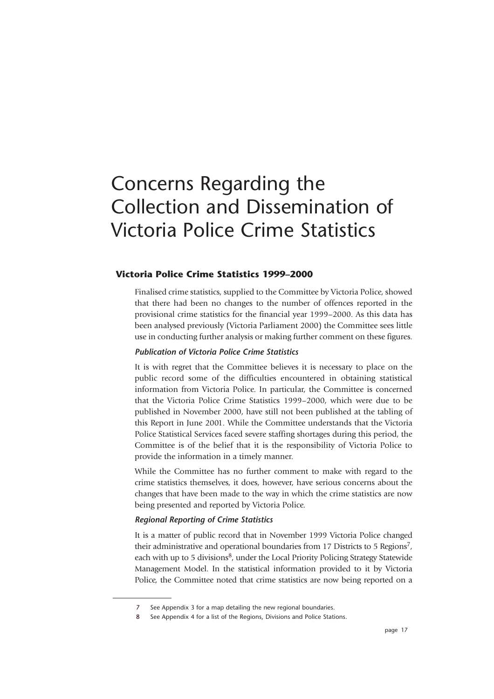# Concerns Regarding the Collection and Dissemination of Victoria Police Crime Statistics

#### **Victoria Police Crime Statistics 1999–2000**

Finalised crime statistics, supplied to the Committee by Victoria Police, showed that there had been no changes to the number of offences reported in the provisional crime statistics for the financial year 1999–2000. As this data has been analysed previously (Victoria Parliament 2000) the Committee sees little use in conducting further analysis or making further comment on these figures.

#### *Publication of Victoria Police Crime Statistics*

It is with regret that the Committee believes it is necessary to place on the public record some of the difficulties encountered in obtaining statistical information from Victoria Police. In particular, the Committee is concerned that the Victoria Police Crime Statistics 1999–2000, which were due to be published in November 2000, have still not been published at the tabling of this Report in June 2001. While the Committee understands that the Victoria Police Statistical Services faced severe staffing shortages during this period, the Committee is of the belief that it is the responsibility of Victoria Police to provide the information in a timely manner.

While the Committee has no further comment to make with regard to the crime statistics themselves, it does, however, have serious concerns about the changes that have been made to the way in which the crime statistics are now being presented and reported by Victoria Police.

#### *Regional Reporting of Crime Statistics*

It is a matter of public record that in November 1999 Victoria Police changed their administrative and operational boundaries from 17 Districts to 5 Regions<sup>7</sup>, each with up to 5 divisions<sup>8</sup>, under the Local Priority Policing Strategy Statewide Management Model. In the statistical information provided to it by Victoria Police, the Committee noted that crime statistics are now being reported on a

<sup>7</sup> See Appendix 3 for a map detailing the new regional boundaries.

See Appendix 4 for a list of the Regions, Divisions and Police Stations.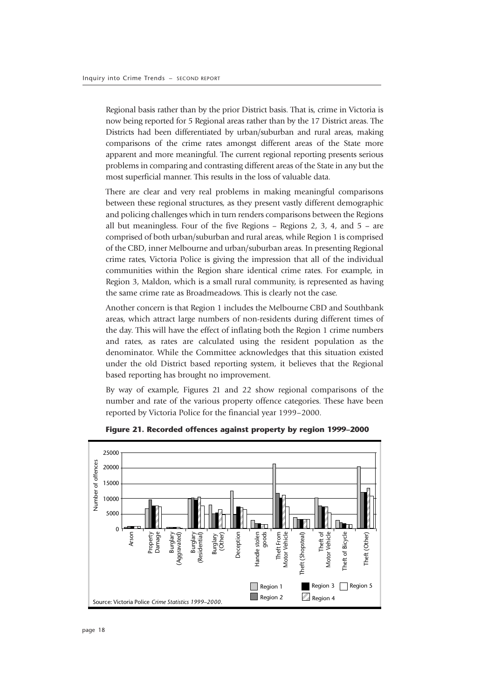Regional basis rather than by the prior District basis. That is, crime in Victoria is now being reported for 5 Regional areas rather than by the 17 District areas. The Districts had been differentiated by urban/suburban and rural areas, making comparisons of the crime rates amongst different areas of the State more apparent and more meaningful. The current regional reporting presents serious problems in comparing and contrasting different areas of the State in any but the most superficial manner. This results in the loss of valuable data.

There are clear and very real problems in making meaningful comparisons between these regional structures, as they present vastly different demographic and policing challenges which in turn renders comparisons between the Regions all but meaningless. Four of the five Regions  $-$  Regions 2, 3, 4, and  $5 -$  are comprised of both urban/suburban and rural areas, while Region 1 is comprised of the CBD, inner Melbourne and urban/suburban areas. In presenting Regional crime rates, Victoria Police is giving the impression that all of the individual communities within the Region share identical crime rates. For example, in Region 3, Maldon, which is a small rural community, is represented as having the same crime rate as Broadmeadows. This is clearly not the case.

Another concern is that Region 1 includes the Melbourne CBD and Southbank areas, which attract large numbers of non-residents during different times of the day. This will have the effect of inflating both the Region 1 crime numbers and rates, as rates are calculated using the resident population as the denominator. While the Committee acknowledges that this situation existed under the old District based reporting system, it believes that the Regional based reporting has brought no improvement.

By way of example, Figures 21 and 22 show regional comparisons of the number and rate of the various property offence categories. These have been reported by Victoria Police for the financial year 1999–2000.



**Figure 21. Recorded offences against property by region 1999–2000**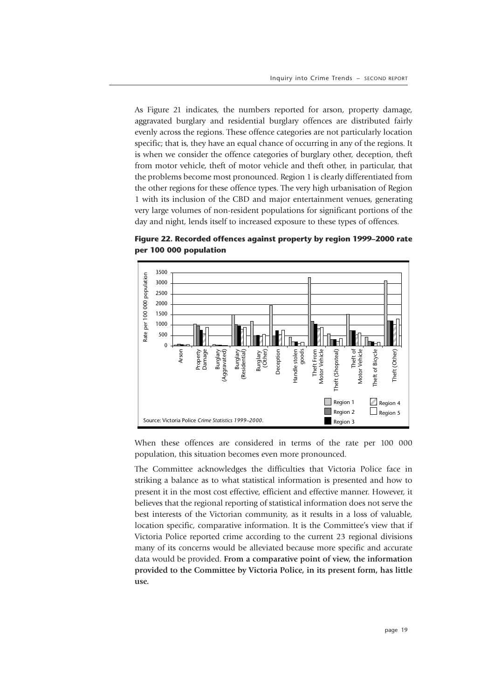As Figure 21 indicates, the numbers reported for arson, property damage, aggravated burglary and residential burglary offences are distributed fairly evenly across the regions. These offence categories are not particularly location specific; that is, they have an equal chance of occurring in any of the regions. It is when we consider the offence categories of burglary other, deception, theft from motor vehicle, theft of motor vehicle and theft other, in particular, that the problems become most pronounced. Region 1 is clearly differentiated from the other regions for these offence types. The very high urbanisation of Region 1 with its inclusion of the CBD and major entertainment venues, generating very large volumes of non-resident populations for significant portions of the day and night, lends itself to increased exposure to these types of offences.



**Figure 22. Recorded offences against property by region 1999–2000 rate per 100 000 population**

When these offences are considered in terms of the rate per 100 000 population, this situation becomes even more pronounced.

The Committee acknowledges the difficulties that Victoria Police face in striking a balance as to what statistical information is presented and how to present it in the most cost effective, efficient and effective manner. However, it believes that the regional reporting of statistical information does not serve the best interests of the Victorian community, as it results in a loss of valuable, location specific, comparative information. It is the Committee's view that if Victoria Police reported crime according to the current 23 regional divisions many of its concerns would be alleviated because more specific and accurate data would be provided. **From a comparative point of view, the information provided to the Committee by Victoria Police, in its present form, has little use.**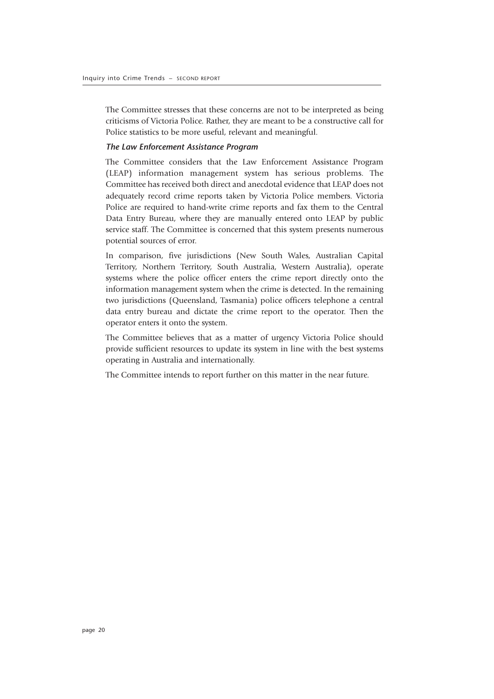The Committee stresses that these concerns are not to be interpreted as being criticisms of Victoria Police. Rather, they are meant to be a constructive call for Police statistics to be more useful, relevant and meaningful.

#### *The Law Enforcement Assistance Program*

The Committee considers that the Law Enforcement Assistance Program (LEAP) information management system has serious problems. The Committee has received both direct and anecdotal evidence that LEAP does not adequately record crime reports taken by Victoria Police members. Victoria Police are required to hand-write crime reports and fax them to the Central Data Entry Bureau, where they are manually entered onto LEAP by public service staff. The Committee is concerned that this system presents numerous potential sources of error.

In comparison, five jurisdictions (New South Wales, Australian Capital Territory, Northern Territory, South Australia, Western Australia), operate systems where the police officer enters the crime report directly onto the information management system when the crime is detected. In the remaining two jurisdictions (Queensland, Tasmania) police officers telephone a central data entry bureau and dictate the crime report to the operator. Then the operator enters it onto the system.

The Committee believes that as a matter of urgency Victoria Police should provide sufficient resources to update its system in line with the best systems operating in Australia and internationally.

The Committee intends to report further on this matter in the near future.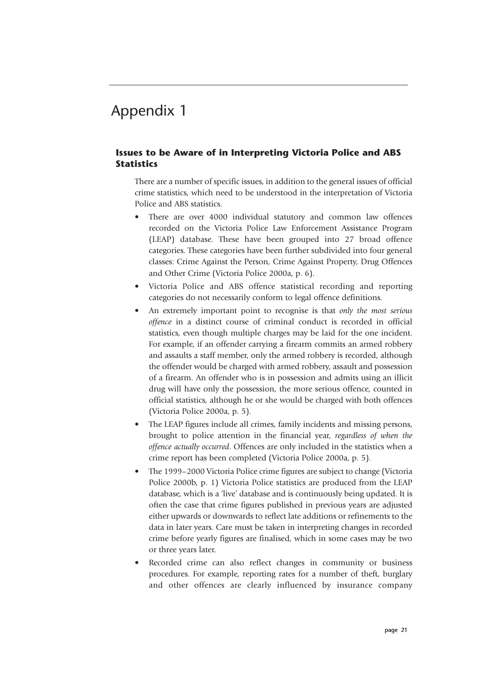#### **Issues to be Aware of in Interpreting Victoria Police and ABS Statistics**

There are a number of specific issues, in addition to the general issues of official crime statistics, which need to be understood in the interpretation of Victoria Police and ABS statistics.

- There are over 4000 individual statutory and common law offences recorded on the Victoria Police Law Enforcement Assistance Program (LEAP) database. These have been grouped into 27 broad offence categories. These categories have been further subdivided into four general classes: Crime Against the Person, Crime Against Property, Drug Offences and Other Crime (Victoria Police 2000a, p. 6).
- Victoria Police and ABS offence statistical recording and reporting categories do not necessarily conform to legal offence definitions.
- An extremely important point to recognise is that *only the most serious offence* in a distinct course of criminal conduct is recorded in official statistics, even though multiple charges may be laid for the one incident. For example, if an offender carrying a firearm commits an armed robbery and assaults a staff member, only the armed robbery is recorded, although the offender would be charged with armed robbery, assault and possession of a firearm. An offender who is in possession and admits using an illicit drug will have only the possession, the more serious offence, counted in official statistics, although he or she would be charged with both offences (Victoria Police 2000a, p. 5).
- The LEAP figures include all crimes, family incidents and missing persons, brought to police attention in the financial year, *regardless of when the offence actually occurred*. Offences are only included in the statistics when a crime report has been completed (Victoria Police 2000a, p. 5).
- The 1999–2000 Victoria Police crime figures are subject to change (Victoria Police 2000b, p. 1) Victoria Police statistics are produced from the LEAP database, which is a 'live' database and is continuously being updated. It is often the case that crime figures published in previous years are adjusted either upwards or downwards to reflect late additions or refinements to the data in later years. Care must be taken in interpreting changes in recorded crime before yearly figures are finalised, which in some cases may be two or three years later.
- Recorded crime can also reflect changes in community or business procedures. For example, reporting rates for a number of theft, burglary and other offences are clearly influenced by insurance company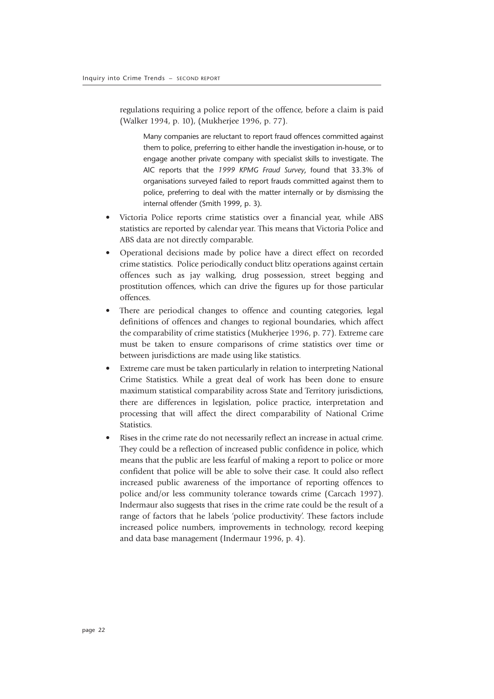regulations requiring a police report of the offence, before a claim is paid (Walker 1994, p. 10), (Mukherjee 1996, p. 77).

Many companies are reluctant to report fraud offences committed against them to police, preferring to either handle the investigation in-house, or to engage another private company with specialist skills to investigate. The AIC reports that the *1999 KPMG Fraud Survey*, found that 33.3% of organisations surveyed failed to report frauds committed against them to police, preferring to deal with the matter internally or by dismissing the internal offender (Smith 1999, p. 3).

- Victoria Police reports crime statistics over a financial year, while ABS statistics are reported by calendar year. This means that Victoria Police and ABS data are not directly comparable.
- Operational decisions made by police have a direct effect on recorded crime statistics. Police periodically conduct blitz operations against certain offences such as jay walking, drug possession, street begging and prostitution offences, which can drive the figures up for those particular offences.
- There are periodical changes to offence and counting categories, legal definitions of offences and changes to regional boundaries, which affect the comparability of crime statistics (Mukherjee 1996, p. 77). Extreme care must be taken to ensure comparisons of crime statistics over time or between jurisdictions are made using like statistics.
- Extreme care must be taken particularly in relation to interpreting National Crime Statistics. While a great deal of work has been done to ensure maximum statistical comparability across State and Territory jurisdictions, there are differences in legislation, police practice, interpretation and processing that will affect the direct comparability of National Crime Statistics.
- Rises in the crime rate do not necessarily reflect an increase in actual crime. They could be a reflection of increased public confidence in police, which means that the public are less fearful of making a report to police or more confident that police will be able to solve their case. It could also reflect increased public awareness of the importance of reporting offences to police and/or less community tolerance towards crime (Carcach 1997). Indermaur also suggests that rises in the crime rate could be the result of a range of factors that he labels 'police productivity'. These factors include increased police numbers, improvements in technology, record keeping and data base management (Indermaur 1996, p. 4).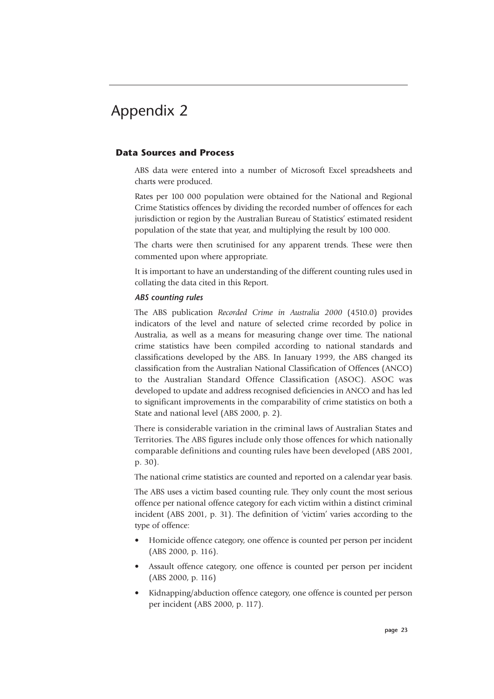#### **Data Sources and Process**

ABS data were entered into a number of Microsoft Excel spreadsheets and charts were produced.

Rates per 100 000 population were obtained for the National and Regional Crime Statistics offences by dividing the recorded number of offences for each jurisdiction or region by the Australian Bureau of Statistics' estimated resident population of the state that year, and multiplying the result by 100 000.

The charts were then scrutinised for any apparent trends. These were then commented upon where appropriate.

It is important to have an understanding of the different counting rules used in collating the data cited in this Report.

#### *ABS counting rules*

The ABS publication *Recorded Crime in Australia 2000* (4510.0) provides indicators of the level and nature of selected crime recorded by police in Australia, as well as a means for measuring change over time. The national crime statistics have been compiled according to national standards and classifications developed by the ABS. In January 1999, the ABS changed its classification from the Australian National Classification of Offences (ANCO) to the Australian Standard Offence Classification (ASOC). ASOC was developed to update and address recognised deficiencies in ANCO and has led to significant improvements in the comparability of crime statistics on both a State and national level (ABS 2000, p. 2).

There is considerable variation in the criminal laws of Australian States and Territories. The ABS figures include only those offences for which nationally comparable definitions and counting rules have been developed (ABS 2001, p. 30).

The national crime statistics are counted and reported on a calendar year basis.

The ABS uses a victim based counting rule. They only count the most serious offence per national offence category for each victim within a distinct criminal incident (ABS 2001, p. 31). The definition of 'victim' varies according to the type of offence:

- Homicide offence category, one offence is counted per person per incident (ABS 2000, p. 116).
- Assault offence category, one offence is counted per person per incident (ABS 2000, p. 116)
- Kidnapping/abduction offence category, one offence is counted per person per incident (ABS 2000, p. 117).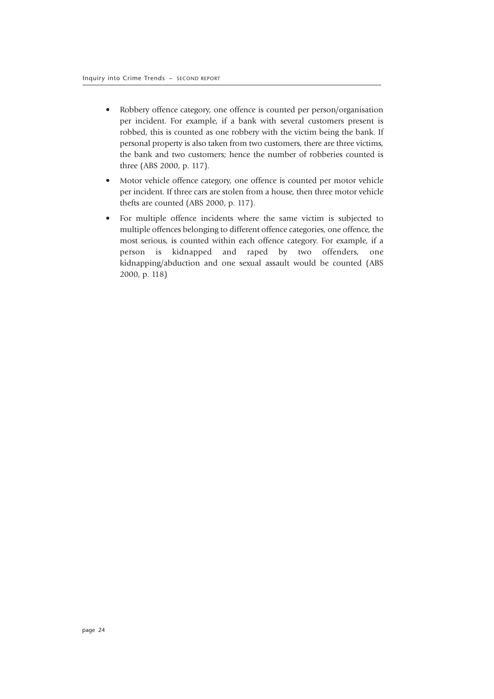- Robbery offence category, one offence is counted per person/organisation per incident. For example, if a bank with several customers present is robbed, this is counted as one robbery with the victim being the bank. If personal property is also taken from two customers, there are three victims, the bank and two customers; hence the number of robberies counted is three (ABS 2000, p. 117).
- Motor vehicle offence category, one offence is counted per motor vehicle per incident. If three cars are stolen from a house, then three motor vehicle thefts are counted (ABS 2000, p. 117).
- For multiple offence incidents where the same victim is subjected to multiple offences belonging to different offence categories, one offence, the most serious, is counted within each offence category. For example, if a person is kidnapped and raped by two offenders, one kidnapping/abduction and one sexual assault would be counted (ABS 2000, p. 118)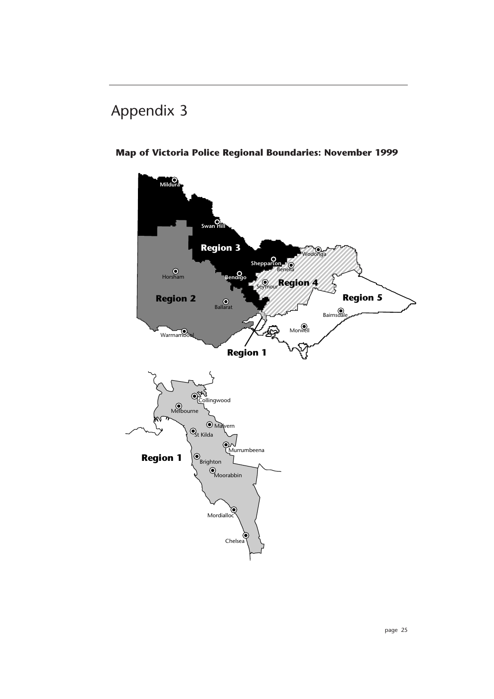

### **Map of Victoria Police Regional Boundaries: November 1999**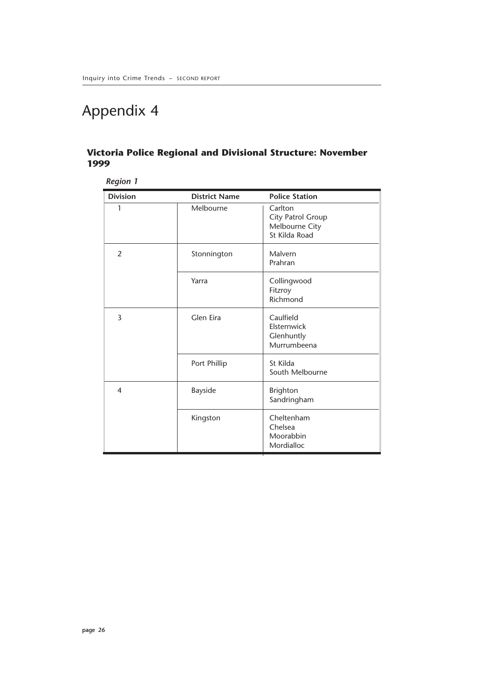#### **Victoria Police Regional and Divisional Structure: November 1999**

*Region 1*

| <b>Division</b> | <b>District Name</b> | <b>Police Station</b>                                           |
|-----------------|----------------------|-----------------------------------------------------------------|
| 1               | Melbourne            | Carlton<br>City Patrol Group<br>Melbourne City<br>St Kilda Road |
| 2               | Stonnington          | Malvern<br>Prahran                                              |
|                 | Yarra                | Collingwood<br>Fitzroy<br>Richmond                              |
| 3               | Glen Eira            | Caulfield<br>Elsternwick<br>Glenhuntly<br>Murrumbeena           |
|                 | Port Phillip         | St Kilda<br>South Melbourne                                     |
| 4               | <b>Bayside</b>       | <b>Brighton</b><br>Sandringham                                  |
|                 | Kingston             | Cheltenham<br>Chelsea<br>Moorabbin<br>Mordialloc                |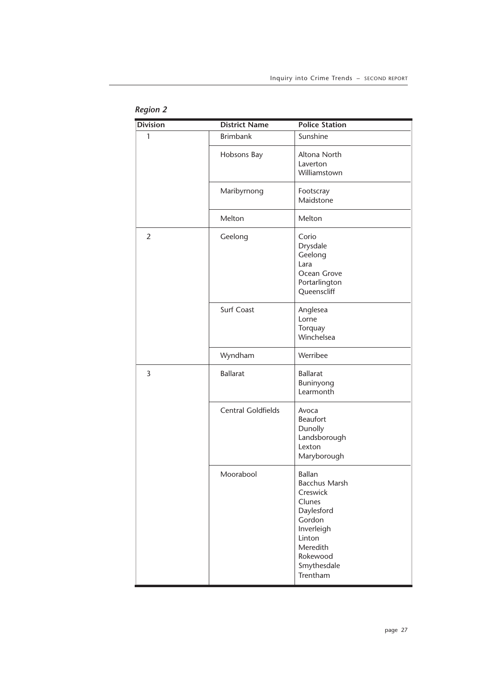| <b>Division</b> | <b>District Name</b>      | <b>Police Station</b>                                                                                                                                          |
|-----------------|---------------------------|----------------------------------------------------------------------------------------------------------------------------------------------------------------|
| 1               | <b>Brimbank</b>           | Sunshine                                                                                                                                                       |
|                 | Hobsons Bay               | Altona North<br>Laverton<br>Williamstown                                                                                                                       |
|                 | Maribyrnong               | Footscray<br>Maidstone                                                                                                                                         |
|                 | Melton                    | Melton                                                                                                                                                         |
| $\overline{2}$  | Geelong                   | Corio<br>Drysdale<br>Geelong<br>Lara<br>Ocean Grove<br>Portarlington<br>Queenscliff                                                                            |
|                 | Surf Coast                | Anglesea<br>Lorne<br>Torquay<br>Winchelsea                                                                                                                     |
|                 | Wyndham                   | Werribee                                                                                                                                                       |
| 3               | <b>Ballarat</b>           | <b>Ballarat</b><br>Buninyong<br>Learmonth                                                                                                                      |
|                 | <b>Central Goldfields</b> | Avoca<br>Beaufort<br>Dunolly<br>Landsborough<br>Lexton<br>Maryborough                                                                                          |
|                 | Moorabool                 | <b>Ballan</b><br><b>Bacchus Marsh</b><br>Creswick<br>Clunes<br>Daylesford<br>Gordon<br>Inverleigh<br>Linton<br>Meredith<br>Rokewood<br>Smythesdale<br>Trentham |

#### *Region 2*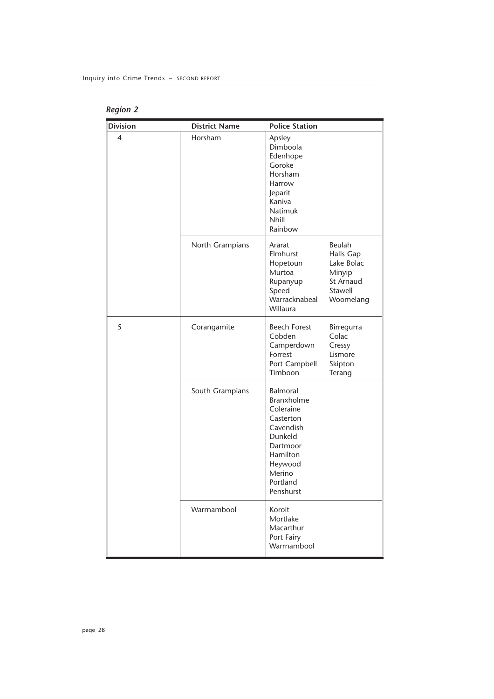| <b>Region 2</b> |  |
|-----------------|--|
|-----------------|--|

| <b>Division</b> | <b>District Name</b> | <b>Police Station</b>                                                                                                                                 |                                                                                  |
|-----------------|----------------------|-------------------------------------------------------------------------------------------------------------------------------------------------------|----------------------------------------------------------------------------------|
| 4               | Horsham              | Apsley<br>Dimboola<br>Edenhope<br>Goroke<br>Horsham<br>Harrow<br>Jeparit<br>Kaniva<br><b>Natimuk</b><br>Nhill<br>Rainbow                              |                                                                                  |
|                 | North Grampians      | Ararat<br>Elmhurst<br>Hopetoun<br>Murtoa<br>Rupanyup<br>Speed<br>Warracknabeal<br>Willaura                                                            | Beulah<br>Halls Gap<br>Lake Bolac<br>Minyip<br>St Arnaud<br>Stawell<br>Woomelang |
| 5               | Corangamite          | <b>Beech Forest</b><br>Cobden<br>Camperdown<br>Forrest<br>Port Campbell<br>Timboon                                                                    | Birregurra<br>Colac<br>Cressy<br>Lismore<br>Skipton<br>Terang                    |
|                 | South Grampians      | <b>Balmoral</b><br>Branxholme<br>Coleraine<br>Casterton<br>Cavendish<br>Dunkeld<br>Dartmoor<br>Hamilton<br>Heywood<br>Merino<br>Portland<br>Penshurst |                                                                                  |
|                 | Warrnambool          | Koroit<br>Mortlake<br>Macarthur<br>Port Fairy<br>Warrnambool                                                                                          |                                                                                  |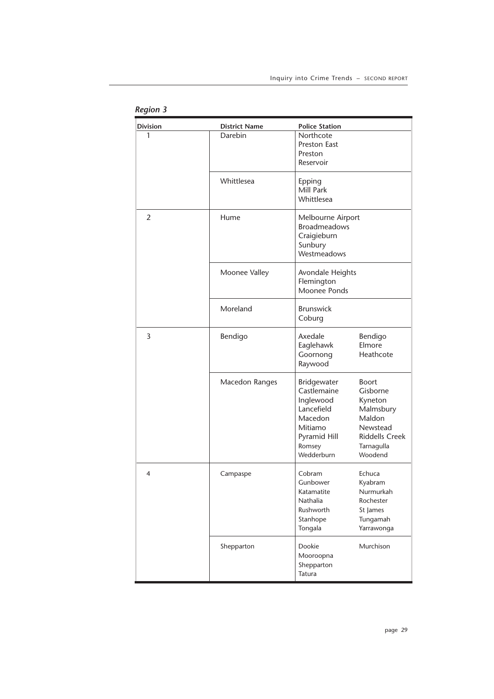| <b>Division</b> | <b>District Name</b> | <b>Police Station</b> |                       |
|-----------------|----------------------|-----------------------|-----------------------|
| 1               | Darebin              | Northcote             |                       |
|                 |                      | Preston East          |                       |
|                 |                      | Preston               |                       |
|                 |                      | Reservoir             |                       |
|                 | Whittlesea           | Epping                |                       |
|                 |                      | Mill Park             |                       |
|                 |                      | Whittlesea            |                       |
| $\overline{2}$  | Hume                 | Melbourne Airport     |                       |
|                 |                      | <b>Broadmeadows</b>   |                       |
|                 |                      | Craigieburn           |                       |
|                 |                      | Sunbury               |                       |
|                 |                      | Westmeadows           |                       |
|                 | Moonee Valley        | Avondale Heights      |                       |
|                 |                      | Flemington            |                       |
|                 |                      | Moonee Ponds          |                       |
|                 | Moreland             | <b>Brunswick</b>      |                       |
|                 |                      | Coburg                |                       |
| 3               | Bendigo              | Axedale               | Bendigo               |
|                 |                      | Eaglehawk             | Elmore                |
|                 |                      | Goornong              | Heathcote             |
|                 |                      | Raywood               |                       |
|                 |                      |                       |                       |
|                 | Macedon Ranges       | Bridgewater           | <b>Boort</b>          |
|                 |                      | Castlemaine           | Gisborne              |
|                 |                      | Inglewood             | Kyneton               |
|                 |                      | Lancefield            | Malmsbury             |
|                 |                      | Macedon               | Maldon                |
|                 |                      | Mitiamo               | Newstead              |
|                 |                      | Pyramid Hill          | <b>Riddells Creek</b> |
|                 |                      | Romsey                | Tarnagulla            |
|                 |                      | Wedderburn            | Woodend               |
| 4               | Campaspe             | Cobram                | Echuca                |
|                 |                      | Gunbower              | Kyabram               |
|                 |                      | Katamatite            | Nurmurkah             |
|                 |                      | Nathalia              | Rochester             |
|                 |                      | Rushworth             | St James              |
|                 |                      | Stanhope              | Tungamah              |
|                 |                      | Tongala               | Yarrawonga            |
|                 | Shepparton           | Dookie                | Murchison             |
|                 |                      | Mooroopna             |                       |
|                 |                      | Shepparton            |                       |
|                 |                      | Tatura                |                       |
|                 |                      |                       |                       |

*Region 3*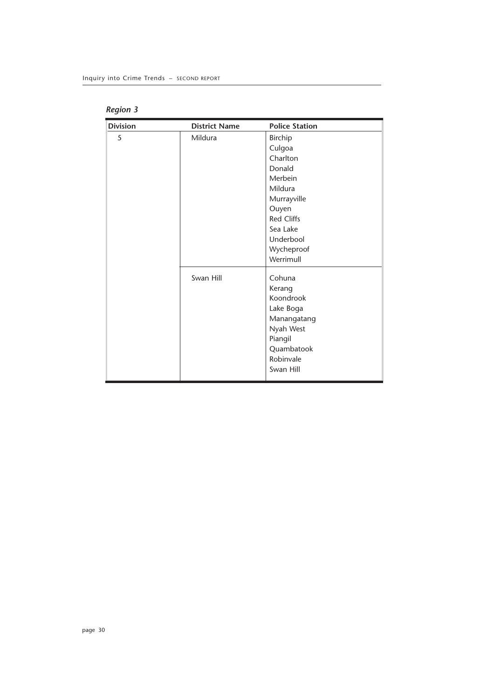| <b>Division</b> | <b>District Name</b> | <b>Police Station</b> |
|-----------------|----------------------|-----------------------|
| 5               | Mildura              | <b>Birchip</b>        |
|                 |                      | Culgoa                |
|                 |                      | Charlton              |
|                 |                      | Donald                |
|                 |                      | Merbein               |
|                 |                      | Mildura               |
|                 |                      | Murrayville           |
|                 |                      | Ouyen                 |
|                 |                      | <b>Red Cliffs</b>     |
|                 |                      | Sea Lake              |
|                 |                      | Underbool             |
|                 |                      | Wycheproof            |
|                 |                      | Werrimull             |
|                 | Swan Hill            | Cohuna                |
|                 |                      | Kerang                |
|                 |                      | Koondrook             |
|                 |                      | Lake Boga             |
|                 |                      | Manangatang           |
|                 |                      | Nyah West             |
|                 |                      | Piangil               |
|                 |                      | Quambatook            |
|                 |                      | Robinvale             |
|                 |                      | Swan Hill             |
|                 |                      |                       |

*Region 3*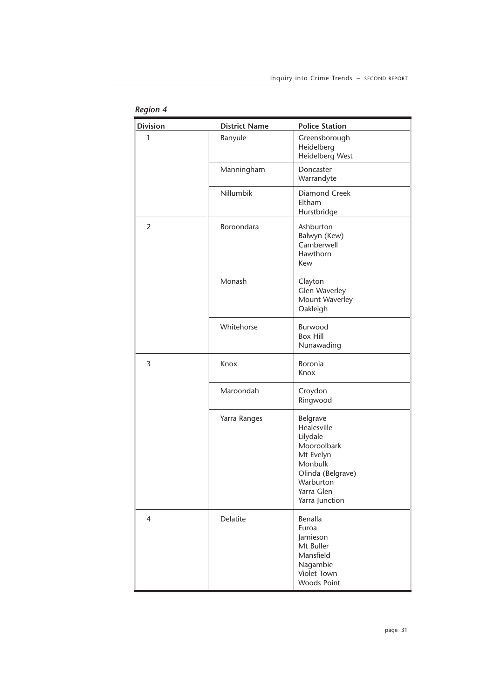| <b>Division</b> | <b>District Name</b> | <b>Police Station</b>                                                                                                                        |
|-----------------|----------------------|----------------------------------------------------------------------------------------------------------------------------------------------|
| 1               | Banyule              | Greensborough<br>Heidelberg<br>Heidelberg West                                                                                               |
|                 | Manningham           | Doncaster<br>Warrandyte                                                                                                                      |
|                 | Nillumbik            | Diamond Creek<br>Eltham<br>Hurstbridge                                                                                                       |
| $\overline{2}$  | Boroondara           | Ashburton<br>Balwyn (Kew)<br>Camberwell<br>Hawthorn<br>Kew                                                                                   |
|                 | Monash               | Clayton<br>Glen Waverley<br>Mount Waverley<br>Oakleigh                                                                                       |
|                 | Whitehorse           | Burwood<br><b>Box Hill</b><br>Nunawading                                                                                                     |
| 3               | Knox                 | Boronia<br>Knox                                                                                                                              |
|                 | Maroondah            | Croydon<br>Ringwood                                                                                                                          |
|                 | Yarra Ranges         | Belgrave<br>Healesville<br>Lilydale<br>Mooroolbark<br>Mt Evelyn<br>Monbulk<br>Olinda (Belgrave)<br>Warburton<br>Yarra Glen<br>Yarra Junction |
| 4               | Delatite             | Benalla<br>Euroa<br>Jamieson<br>Mt Buller<br>Mansfield<br>Nagambie<br>Violet Town<br><b>Woods Point</b>                                      |

*Region 4*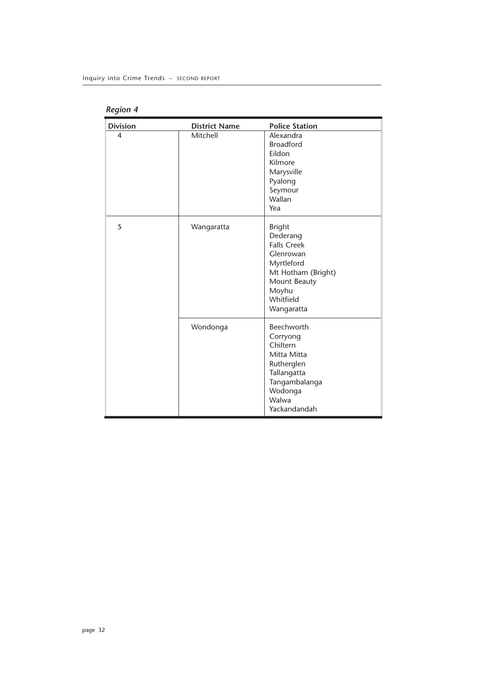| <b>Division</b> | <b>District Name</b> | <b>Police Station</b>                                                                                                                                |
|-----------------|----------------------|------------------------------------------------------------------------------------------------------------------------------------------------------|
| 4               | Mitchell             | Alexandra<br><b>Broadford</b><br>Eildon<br>Kilmore<br>Marysville<br>Pyalong<br>Seymour<br>Wallan<br>Yea                                              |
| 5               | Wangaratta           | <b>Bright</b><br>Dederang<br><b>Falls Creek</b><br>Glenrowan<br>Myrtleford<br>Mt Hotham (Bright)<br>Mount Beauty<br>Moyhu<br>Whitfield<br>Wangaratta |
|                 | Wondonga             | Beechworth<br>Corryong<br>Chiltern<br>Mitta Mitta<br>Rutherglen<br>Tallangatta<br>Tangambalanga<br>Wodonga<br>Walwa<br>Yackandandah                  |

*Region 4*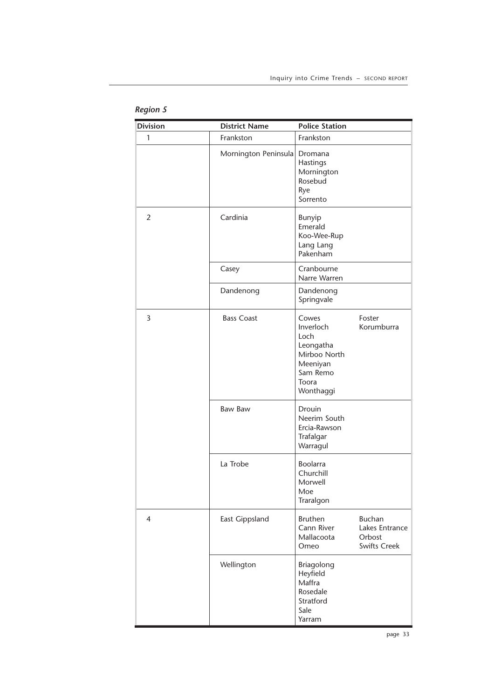| <b>Division</b> | <b>District Name</b> | <b>Police Station</b>                                                                                 |                                                                  |
|-----------------|----------------------|-------------------------------------------------------------------------------------------------------|------------------------------------------------------------------|
| 1               | Frankston            | Frankston                                                                                             |                                                                  |
|                 | Mornington Peninsula | Dromana<br>Hastings<br>Mornington<br>Rosebud<br>Rye<br>Sorrento                                       |                                                                  |
| 2               | Cardinia             | Bunyip<br>Emerald<br>Koo-Wee-Rup<br>Lang Lang<br>Pakenham                                             |                                                                  |
|                 | Casey                | Cranbourne<br>Narre Warren                                                                            |                                                                  |
|                 | Dandenong            | Dandenong<br>Springvale                                                                               |                                                                  |
| 3               | <b>Bass Coast</b>    | Cowes<br>Inverloch<br>Loch<br>Leongatha<br>Mirboo North<br>Meeniyan<br>Sam Remo<br>Toora<br>Wonthaggi | Foster<br>Korumburra                                             |
|                 | <b>Baw Baw</b>       | Drouin<br>Neerim South<br>Ercia-Rawson<br>Trafalgar<br>Warragul                                       |                                                                  |
|                 | La Trobe             | Boolarra<br>Churchill<br>Morwell<br>Moe<br>Traralgon                                                  |                                                                  |
| 4               | East Gippsland       | <b>Bruthen</b><br>Cann River<br>Mallacoota<br>Omeo                                                    | <b>Buchan</b><br>Lakes Entrance<br>Orbost<br><b>Swifts Creek</b> |
|                 | Wellington           | Briagolong<br>Heyfield<br>Maffra<br>Rosedale<br>Stratford<br>Sale<br>Yarram                           |                                                                  |

### *Region 5*

page 33